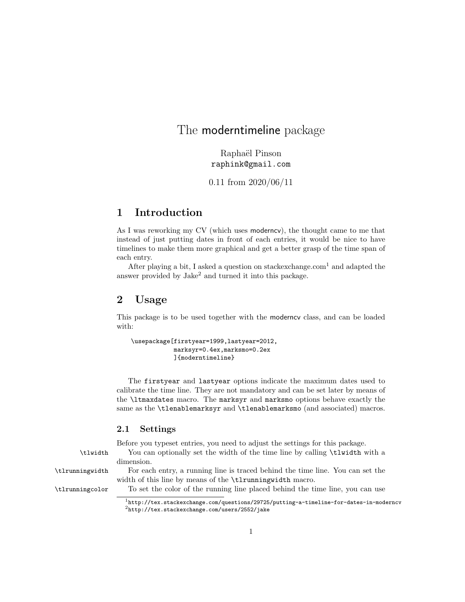# The moderntimeline package

Raphaël Pinson raphink@gmail.com

0.11 from 2020/06/11

# 1 Introduction

As I was reworking my CV (which uses moderncv), the thought came to me that instead of just putting dates in front of each entries, it would be nice to have timelines to make them more graphical and get a better grasp of the time span of each entry.

After playing a bit, I asked a question on stackex change.com<sup>1</sup> and adapted the answer provided by Jake<sup>2</sup> and turned it into this package.

# 2 Usage

This package is to be used together with the moderncv class, and can be loaded with:

```
\usepackage[firstyear=1999,lastyear=2012,
            marksyr=0.4ex,marksmo=0.2ex
            ]{moderntimeline}
```
The firstyear and lastyear options indicate the maximum dates used to calibrate the time line. They are not mandatory and can be set later by means of the \ltmaxdates macro. The marksyr and marksmo options behave exactly the same as the \tlenablemarksyr and \tlenablemarksmo (and associated) macros.

## 2.1 Settings

Before you typeset entries, you need to adjust the settings for this package.

\tlwidth You can optionally set the width of the time line by calling \tlwidth with a dimension.

\tlrunningwidth For each entry, a running line is traced behind the time line. You can set the width of this line by means of the \tlrunningwidth macro.

\tlrunningcolor To set the color of the running line placed behind the time line, you can use

 $1$ http://tex.stackexchange.com/questions/29725/putting-a-timeline-for-dates-in-moderncv <sup>2</sup>http://tex.stackexchange.com/users/2552/jake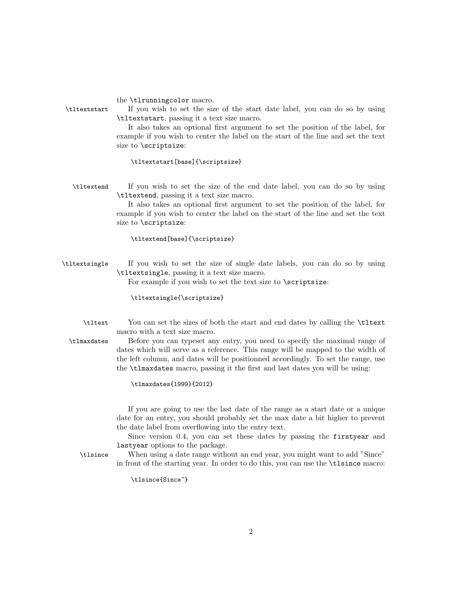the \tlrunningcolor macro.

\tltextstart If you wish to set the size of the start date label, you can do so by using \tltextstart, passing it a text size macro.

> It also takes an optional first argument to set the position of the label, for example if you wish to center the label on the start of the line and set the text size to \scriptsize:

#### \tltextstart[base]{\scriptsize}

\tltextend If you wish to set the size of the end date label, you can do so by using \tltextend, passing it a text size macro.

> It also takes an optional first argument to set the position of the label, for example if you wish to center the label on the start of the line and set the text size to \scriptsize:

## \tltextend[base]{\scriptsize}

\tltextsingle If you wish to set the size of single date labels, you can do so by using \tltextsingle, passing it a text size macro.

For example if you wish to set the text size to \scriptsize:

\tltextsingle{\scriptsize}

\tltext You can set the sizes of both the start and end dates by calling the \tltext macro with a text size macro.

\tlmaxdates Before you can typeset any entry, you need to specify the maximal range of dates which will serve as a reference. This range will be mapped to the width of the left column, and dates will be positionned accordingly. To set the range, use the \tlmaxdates macro, passing it the first and last dates you will be using:

\tlmaxdates{1999}{2012}

If you are going to use the last date of the range as a start date or a unique date for an entry, you should probably set the max date a bit higher to prevent the date label from overflowing into the entry text.

Since version 0.4, you can set these dates by passing the firstyear and lastyear options to the package.

\tlsince When using a date range without an end year, you might want to add "Since" in front of the starting year. In order to do this, you can use the \tlsince macro:

\tlsince{Since~}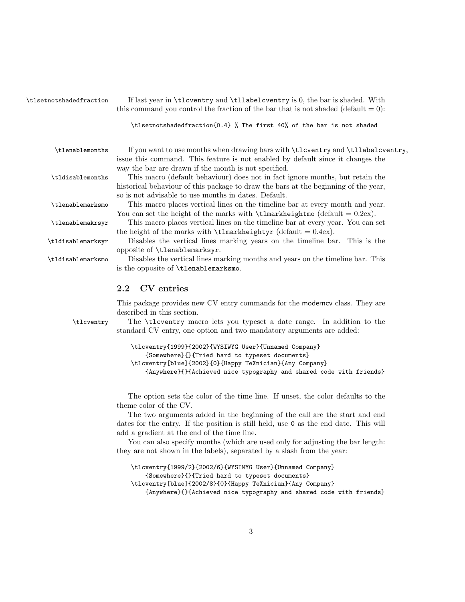\tlsetnotshadedfraction If last year in \tlcventry and \tllabelcventry is 0, the bar is shaded. With this command you control the fraction of the bar that is not shaded (default  $= 0$ ):

#### \tlsetnotshadedfraction{0.4} % The first 40% of the bar is not shaded

\tlenablemonths If you want to use months when drawing bars with \tlcventry and \tllabelcventry, issue this command. This feature is not enabled by default since it changes the way the bar are drawn if the month is not specified.

\tldisablemonths This macro (default behaviour) does not in fact ignore months, but retain the historical behaviour of this package to draw the bars at the beginning of the year, so is not advisable to use months in dates. Default.

\tlenablemarksmo This macro places vertical lines on the timeline bar at every month and year. You can set the height of the marks with  $\t$ lmarkheightmo (default = 0.2ex).

\tlenablemakrsyr This macro places vertical lines on the timeline bar at every year. You can set the height of the marks with  $\t{lmarkheight}$  (default = 0.4ex).

\tldisablemarksyr Disables the vertical lines marking years on the timeline bar. This is the opposite of \tlenablemarksyr.

\tldisablemarksmo Disables the vertical lines marking months and years on the timeline bar. This is the opposite of \tlenablemarksmo.

# 2.2 CV entries

This package provides new CV entry commands for the moderncv class. They are described in this section.

\tlcventry The \tlcventry macro lets you typeset a date range. In addition to the standard CV entry, one option and two mandatory arguments are added:

```
\tlcventry{1999}{2002}{WYSIWYG User}{Unnamed Company}
    {Somewhere}{}{Tried hard to typeset documents}
\tlcventry[blue]{2002}{0}{Happy TeXnician}{Any Company}
    {Anywhere}{}{Achieved nice typography and shared code with friends}
```
The option sets the color of the time line. If unset, the color defaults to the theme color of the CV.

The two arguments added in the beginning of the call are the start and end dates for the entry. If the position is still held, use 0 as the end date. This will add a gradient at the end of the time line.

You can also specify months (which are used only for adjusting the bar length: they are not shown in the labels), separated by a slash from the year:

```
\tlcventry{1999/2}{2002/6}{WYSIWYG User}{Unnamed Company}
    {Somewhere}{}{Tried hard to typeset documents}
\tlcventry[blue]{2002/8}{0}{Happy TeXnician}{Any Company}
    {Anywhere}{}{Achieved nice typography and shared code with friends}
```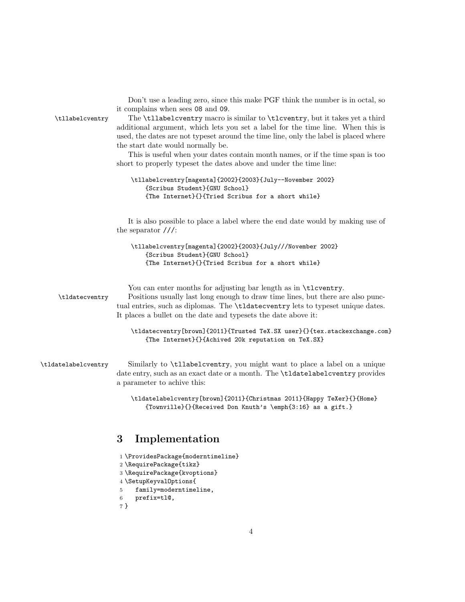Don't use a leading zero, since this make PGF think the number is in octal, so it complains when sees 08 and 09.

\tllabelcventry The \tllabelcventry macro is similar to \tlcventry, but it takes yet a third additional argument, which lets you set a label for the time line. When this is used, the dates are not typeset around the time line, only the label is placed where the start date would normally be.

> This is useful when your dates contain month names, or if the time span is too short to properly typeset the dates above and under the time line:

```
\tllabelcventry[magenta]{2002}{2003}{July--November 2002}
    {Scribus Student}{GNU School}
    {The Internet}{}{Tried Scribus for a short while}
```
It is also possible to place a label where the end date would by making use of the separator ///:

```
\tllabelcventry[magenta]{2002}{2003}{July///November 2002}
    {Scribus Student}{GNU School}
    {The Internet}{}{Tried Scribus for a short while}
```
You can enter months for adjusting bar length as in \tlcventry.

\tldatecventry Positions usually last long enough to draw time lines, but there are also punctual entries, such as diplomas. The \tldatecventry lets to typeset unique dates. It places a bullet on the date and typesets the date above it:

> \tldatecventry[brown]{2011}{Trusted TeX.SX user}{}{tex.stackexchange.com} {The Internet}{}{Achived 20k reputation on TeX.SX}

\tldatelabelcventry Similarly to \tllabelcventry, you might want to place a label on a unique date entry, such as an exact date or a month. The \tldatelabelcventry provides a parameter to achive this:

> \tldatelabelcventry[brown]{2011}{Christmas 2011}{Happy TeXer}{}{Home} {Townville}{}{Received Don Knuth's \emph{3:16} as a gift.}

# 3 Implementation

- 1 \ProvidesPackage{moderntimeline} 2 \RequirePackage{tikz} 3 \RequirePackage{kvoptions} 4 \SetupKeyvalOptions{ 5 family=moderntimeline,
- 
- 6 prefix=tl@,

```
7 }
```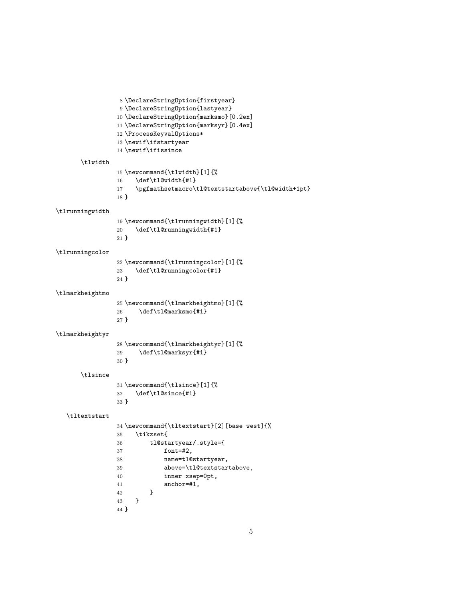```
8 \DeclareStringOption{firstyear}
                 9 \DeclareStringOption{lastyear}
                10 \DeclareStringOption{marksmo}[0.2ex]
                11 \DeclareStringOption{marksyr}[0.4ex]
                12 \ProcessKeyvalOptions*
                13 \newif\ifstartyear
                14 \newif\ifissince
      \tlwidth
                15 \newcommand{\tlwidth}[1]{%
                16 \def\tl@width{#1}
                17 \pgfmathsetmacro\tl@textstartabove{\tl@width+1pt}
                18 }
\tlrunningwidth
                19 \newcommand{\tlrunningwidth}[1]{%
                20 \def\tl@runningwidth{#1}
                21 }
\tlrunningcolor
                22 \newcommand{\tlrunningcolor}[1]{%
                23 \def\tl@runningcolor{#1}
                24 }
\tlmarkheightmo
                25 \newcommand{\tlmarkheightmo}[1]{%
                26 \def\tlap{\ell} \def\tdef\tl@marksmo{#1}
                27 }
\tlmarkheightyr
                28 \newcommand{\tlmarkheightyr}[1]{%
                29 \def\tl@marksyr{#1}
                30 }
      \tlsince
                31 \newcommand{\tlsince}[1]{%
                32 \def\tl@since{#1}
                33 }
  \tltextstart
                34 \newcommand{\tltextstart}[2][base west]{%
                35 \tikzset{
                36 tl@startyear/.style={
                37 font=#2,
                38 name=tl@startyear,
                39 above=\tl@textstartabove,
                40 inner xsep=0pt,
                41 anchor=#1,
                42 }
                43 }
```
}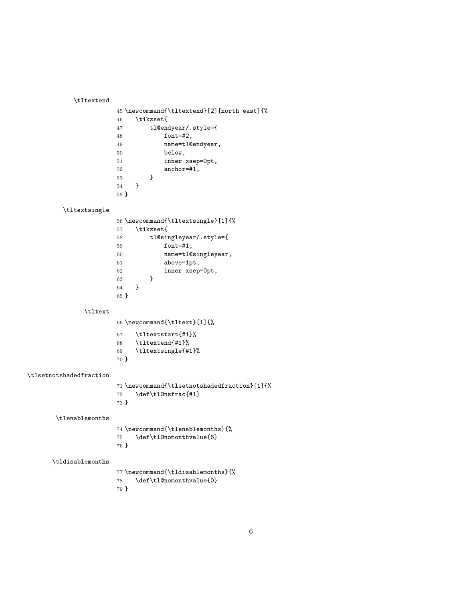\tltextend

|                 | 45 \newcommand{\tltextend}[2] [north east] {% |
|-----------------|-----------------------------------------------|
| 46              | <b>\tikzset{</b>                              |
| 47              | $t$ l@endyear/.style={                        |
| 48              | font=#2,                                      |
| 49              | name=tl@endyear,                              |
| 50              | below.                                        |
| 51              | inner xsep=Opt,                               |
| 52              | anchor=#1,                                    |
| 53              | ł                                             |
| 54              | Ł                                             |
| 55 <sup>1</sup> |                                               |

## \tltextsingle

|      | 56 \newcommand{\tltextsingle}[1]{% |
|------|------------------------------------|
| 57   | <b>\tikzset{</b>                   |
| 58   | tl@singleyear/.style={             |
| 59   | font=#1,                           |
| 60   | name=tl@singleyear,                |
| 61   | above=1pt,                         |
| 62   | inner xsep=Opt,                    |
| 63   | ι                                  |
| 64   | Ł                                  |
| 65 F |                                    |

### \tltext

\newcommand{\tltext}[1]{%

| 67   | \tltextstart{#1}%  |
|------|--------------------|
| 68   | \tltextend{#1}%    |
| 69   | \tltextsingle{#1}% |
| 70 } |                    |

### \tlsetnotshadedfraction

|                           | 71 \newcommand{\tlsetnotshadedfraction}[1]{% |
|---------------------------|----------------------------------------------|
| \def\tl@nsfrac{#1}<br>72. |                                              |
| 73 P                      |                                              |

## \tlenablemonths

|      | 74 \newcommand{\tlenablemonths}{% |
|------|-----------------------------------|
|      | \def\tl@nomonthvalue{6}<br>75 —   |
| 76 } |                                   |

### \tldisablemonths

```
77 \newcommand{\tldisablemonths}{%
78 \def\tl@nomonthvalue{0}
79 }
```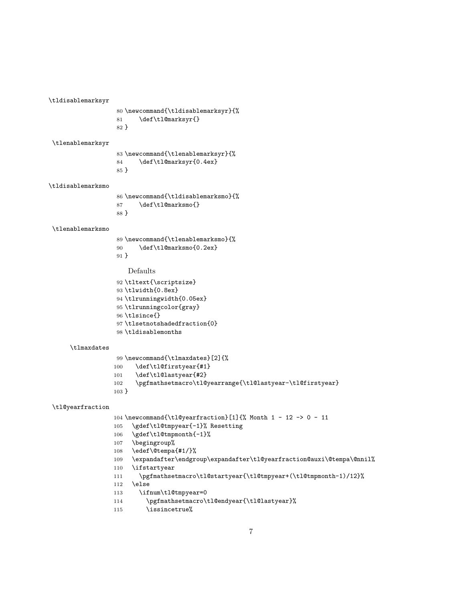```
\tldisablemarksyr
                   80 \newcommand{\tldisablemarksyr}{%
                   81 \def\tl@marksyr{}
                   82 }
\tlenablemarksyr
                   83 \newcommand{\tlenablemarksyr}{%
                   84 \def\tl@marksyr{0.4ex}
                   85 }
\tldisablemarksmo
                   86 \newcommand{\tldisablemarksmo}{%
                   87 \def\tl@marksmo{}
                   88 }
\tlenablemarksmo
                   89 \newcommand{\tlenablemarksmo}{%
                   90 \def\tl@marksmo{0.2ex}
                   91 }
                      Defaults
                   92 \tltext{\scriptsize}
                   93 \tlwidth{0.8ex}
                   94 \tlrunningwidth{0.05ex}
                   95 \tlrunningcolor{gray}
                   96 \tlsince{}
                   97 \tlsetnotshadedfraction{0}
                   98 \tldisablemonths
      \tlmaxdates
                   99 \newcommand{\tlmaxdates}[2]{%
                  100 \def\tl@firstyear{#1}
                  101 \def\tl@lastyear{#2}
                  102 \pgfmathsetmacro\tl@yearrange{\tl@lastyear-\tl@firstyear}
                  103 }
 \tl@yearfraction
                  104 \newcommand{\tl@yearfraction}[1]{% Month 1 - 12 -> 0 - 11
                  105 \gdef\tl@tmpyear{-1}% Resetting<br>106 \gdef\tl@tmpmonth{-1}%
                       \gdef\tl@tmpmonth{-1}%
                  107 \begingroup%
                  108 \edef\@tempa{#1/}%
                  109 \expandafter\endgroup\expandafter\tl@yearfraction@auxi\@tempa\@nnil%
                  110 \ifstartyear
                  111 \pgfmathsetmacro\tl@startyear{\tl@tmpyear+(\tl@tmpmonth-1)/12}%
                  112 \else
                  113 \ifnum\tl@tmpyear=0
```

```
114 \pgfmathsetmacro\tl@endyear{\tl@lastyear}%
```

```
115 \issincetrue%
```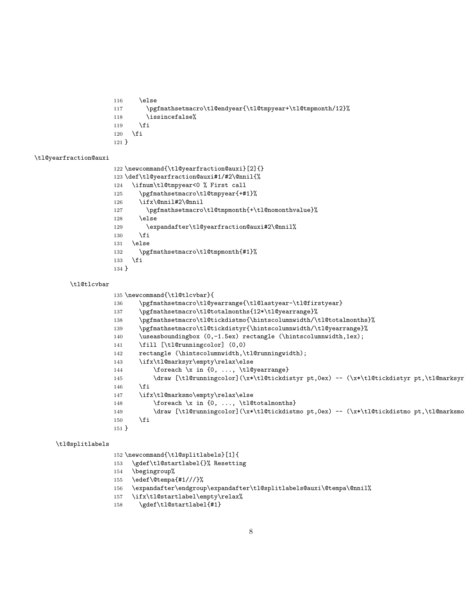```
116 \else
117 \pgfmathsetmacro\tl@endyear{\tl@tmpyear+\tl@tmpmonth/12}%
118 \issincefalse%
119 \fi
120 \overline{f}121 }
```
#### \tl@yearfraction@auxi

```
122 \newcommand{\tl@yearfraction@auxi}[2]{}
123 \def\tl@yearfraction@auxi#1/#2\@nnil{%
124 \ifnum\tl@tmpyear<0 % First call
125 \pgfmathsetmacro\tl@tmpyear{+#1}%
126 \ifx\@nnil#2\@nnil
127 \pgfmathsetmacro\tl@tmpmonth{+\tl@nomonthvalue}%
128 \else
129 \expandafter\tl@yearfraction@auxi#2\@nnil%
130 \fi
131 \else
132 \pgfmathsetmacro\tl@tmpmonth{#1}%
133 \fi
134 }
```
#### \tl@tlcvbar

```
135 \newcommand{\tl@tlcvbar}{
```

```
136 \pgfmathsetmacro\tl@yearrange{\tl@lastyear-\tl@firstyear}
137 \pgfmathsetmacro\tl@totalmonths{12*\tl@yearrange}%
138 \pgfmathsetmacro\tl@tickdistmo{\hintscolumnwidth/\tl@totalmonths}%
139 \pgfmathsetmacro\tl@tickdistyr{\hintscolumnwidth/\tl@yearrange}%
140 \useasboundingbox (0,-1.5ex) rectangle (\hintscolumnwidth,1ex);
141 \fill [\tl@runningcolor] (0,0)
142 rectangle (\hintscolumnwidth,\tl@runningwidth);
143 \ifx\tl@marksyr\empty\relax\else
144 \foreach \x in {0, ..., \tl@yearrange}
145 \draw [\tl@runningcolor](\x*\tl@tickdistyr pt,0ex) -- (\x*\tl@tickdistyr pt,\tl@marksyr
146 \fi
147 \ifx\tl@marksmo\empty\relax\else
148 \foreach \x in {0, ..., \tl@totalmonths}
149 \draw [\tl@runningcolor](\x*\tl@tickdistmo pt,0ex) -- (\x*\tl@tickdistmo pt,\tl@marksmo
150 \quad \text{If}151 }
```
#### \tl@splitlabels

\newcommand{\tl@splitlabels}[1]{

- \gdef\tl@startlabel{}% Resetting
- \begingroup%
- \edef\@tempa{#1///}%
- \expandafter\endgroup\expandafter\tl@splitlabels@auxi\@tempa\@nnil%
- \ifx\tl@startlabel\empty\relax%
- \gdef\tl@startlabel{#1}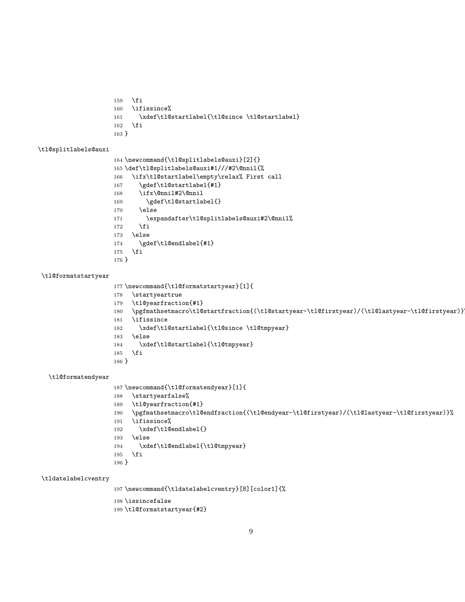```
159 \fi
160 \ifissince%
161 \xdef\tl@startlabel{\tl@since \tl@startlabel}
162 \fi
163 }
```
#### \tl@splitlabels@auxi

```
164 \newcommand{\tl@splitlabels@auxi}[2]{}
165 \def\tl@splitlabels@auxi#1///#2\@nnil{%
166 \ifx\tl@startlabel\empty\relax% First call
167 \gdef\tl@startlabel{#1}
168 \ifx\@nnil#2\@nnil
169 \gdef\tl@startlabel{}
170 \else
171 \expandafter\tl@splitlabels@auxi#2\@nnil%
172 \fi
173 \else
174 \gdef\tl@endlabel{#1}
175 \fi
176 }
```
### \tl@formatstartyear

```
177 \newcommand{\tl@formatstartyear}[1]{
178 \startyeartrue
```

```
179 \tl@yearfraction{#1}
```

```
180 \pgfmathsetmacro\tl@startfraction{(\tl@startyear-\tl@firstyear)/(\tl@lastyear-\tl@firstyear)}%
181 \ifissince
```

```
182 \xdef\tl@startlabel{\tl@since \tl@tmpyear}
```

```
183 \else
```

```
184 \xdef\tl@startlabel{\tl@tmpyear}
```
 \fi }

#### \tl@formatendyear

```
187 \newcommand{\tl@formatendyear}[1]{
188 \startyearfalse%
189 \tl@yearfraction{#1}
190 \pgfmathsetmacro\tl@endfraction{(\tl@endyear-\tl@firstyear)/(\tl@lastyear-\tl@firstyear)}%
191 \ifissince%
192 \xdef\tl@endlabel{}
193 \else
194 \xdef\tl@endlabel{\tl@tmpyear}
195 \fi
196 }
```
#### \tldatelabelcventry

\newcommand{\tldatelabelcventry}[8][color1]{%

```
198 \issincefalse
```

```
199 \tl@formatstartyear{#2}
```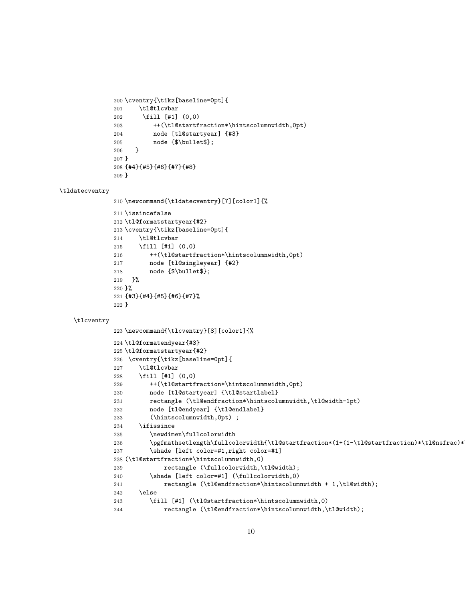```
200 \cventry{\tikz[baseline=0pt]{
201 \tl@tlcvbar
202 \fill [#1] (0,0)
203 ++(\tl@startfraction*\hintscolumnwidth,0pt)
204 node [tl@startyear] {#3}
205 node {$\bullet$};
206 }
207 }
208 {#4}{#5}{#6}{#7}{#8}
209 }
```
#### \tldatecventry

```
210 \newcommand{\tldatecventry}[7][color1]{%
211 \issincefalse
212 \tl@formatstartyear{#2}
213 \cventry{\tikz[baseline=0pt]{
214 \tl@tlcvbar
215 \fill [#1] (0,0)216 ++(\tl@startfraction*\hintscolumnwidth,0pt)
217 node [tl@singleyear] {#2}
218 node {$\bullet$};
219 }%
220 }%
221 {#3}{#4}{#5}{#6}{#7}%
222 }
```
#### \tlcventry

```
223 \newcommand{\tlcventry}[8][color1]{%
224 \tl@formatendyear{#3}
225 \tl@formatstartyear{#2}
226 \cventry{\tikz[baseline=0pt]{
227 \tl@tlcvbar
228 \fill [#1] (0,0)
229 ++(\tl@startfraction*\hintscolumnwidth,0pt)
230 node [tl@startyear] {\tl@startlabel}
231 rectangle (\tl@endfraction*\hintscolumnwidth,\tl@width-1pt)
232 node [tl@endyear] {\tl@endlabel}
233 (\hintscolumnwidth,0pt) ;
234 \ifissince
235 \newdimen\fullcolorwidth
236 \pgfmathsetlength\fullcolorwidth{\tl@startfraction*(1+(1-\tl@startfraction)*\tl@nsfrac)*
237 \shade [left color=#1,right color=#1]
238 (\tl@startfraction*\hintscolumnwidth,0)
239 rectangle (\fullcolorwidth,\tl@width);
240 \shade [left color=#1] (\fullcolorwidth,0)
241 rectangle (\tl@endfraction*\hintscolumnwidth + 1,\tl@width);
242 \else
243 \fill [#1] (\tl@startfraction*\hintscolumnwidth,0)
244 rectangle (\tl@endfraction*\hintscolumnwidth,\tl@width);
```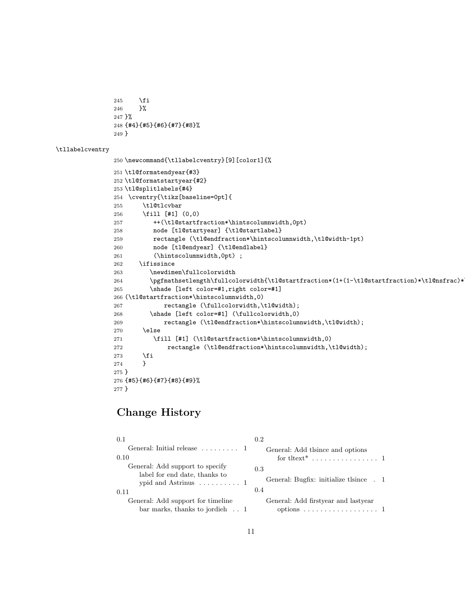```
245 \forallfi
246 }%
247 }%
248 {#4}{#5}{#6}{#7}{#8}%
249 }
```
\tllabelcventry

```
250 \newcommand{\tllabelcventry}[9][color1]{%
```

```
251 \tl@formatendyear{#3}
252 \tl@formatstartyear{#2}
253 \tl@splitlabels{#4}
254 \cventry{\tikz[baseline=0pt]{
255 \tl@tlcvbar
256 \fill [#1] (0,0)
257 ++(\tl@startfraction*\hintscolumnwidth,0pt)
258 node [tl@startyear] {\tl@startlabel}
259 rectangle (\tl@endfraction*\hintscolumnwidth,\tl@width-1pt)
260 node [tl@endyear] {\tl@endlabel}
261 (\hintscolumnwidth,0pt) ;
262 \ifissince
263 \newdimen\fullcolorwidth
264 \pgfmathsetlength\fullcolorwidth{\tl@startfraction*(1+(1-\tl@startfraction)*\tl@nsfrac)*
265 \shade [left color=#1,right color=#1]
266 (\tl@startfraction*\hintscolumnwidth,0)
267 rectangle (\fullcolorwidth,\tl@width);
268 \shade [left color=#1] (\fullcolorwidth,0)
269 rectangle (\tl@endfraction*\hintscolumnwidth,\tl@width);
270 \else
271 \fill [#1] (\tl@startfraction*\hintscolumnwidth,0)
272 rectangle (\tl@endfraction*\hintscolumnwidth,\tl@width);
273 \ifmmode \overline{\text{ifi}}\else \fi
274 }
275 }
276 {#5}{#6}{#7}{#8}{#9}%
277 }
```
# Change History

| 0.1                                                                                                         | 0.2                                                                                   |
|-------------------------------------------------------------------------------------------------------------|---------------------------------------------------------------------------------------|
| General: Initial release $\ldots \ldots \ldots 1$<br>0.10                                                   | General: Add theorem and options                                                      |
| General: Add support to specify<br>label for end date, thanks to<br>ypid and Astrinus $\dots \dots \dots 1$ | 0.3<br>General: Bugfix: initialize tlsince . 1                                        |
| 0.11                                                                                                        | 0.4                                                                                   |
| General: Add support for timeline<br>bar marks, thanks to jordieh $\ldots$ 1                                | General: Add firstyear and lastyear<br>options $\ldots \ldots \ldots \ldots \ldots 1$ |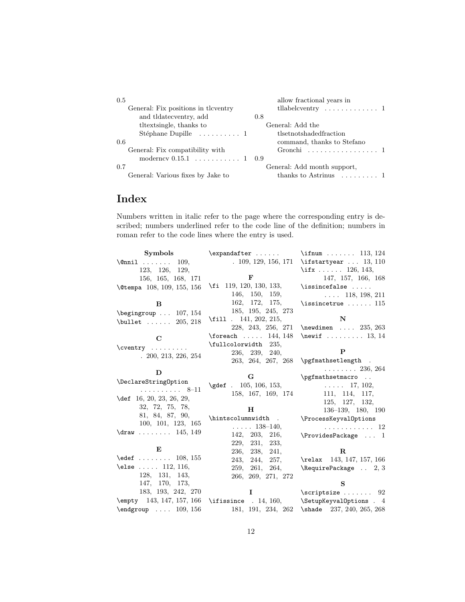| 0.5                                    | allow fractional years in                  |
|----------------------------------------|--------------------------------------------|
| General: Fix positions in the entry    | tllabelcventry $\dots \dots \dots \dots 1$ |
| and tldatecventry, add                 | 0.8                                        |
| thext single, thanks to                | General: Add the                           |
| Stéphane Dupille $\dots \dots \dots 1$ | tlsetnotshadedfraction                     |
| 0.6                                    | command, thanks to Stefano                 |
| General: Fix compatibility with        | Gronchi 1                                  |
| moderncy $0.15.1$ 1 0.9                |                                            |
| 0.7                                    | General: Add month support,                |
| General: Various fixes by Jake to      | thanks to Astrinus $\dots \dots 1$         |

# Index

Numbers written in italic refer to the page where the corresponding entry is described; numbers underlined refer to the code line of the definition; numbers in roman refer to the code lines where the entry is used.

| Symbols                                                                                   | $\exp\{f\}$                                                                                                       | \ifnum  113, 124                                |
|-------------------------------------------------------------------------------------------|-------------------------------------------------------------------------------------------------------------------|-------------------------------------------------|
| $\text{Onnil}$ 109,                                                                       |                                                                                                                   | $. 109, 129, 156, 171$ \ifstartyear $. 13, 110$ |
| 123, 126, 129,                                                                            |                                                                                                                   | \ifx 126, 143,                                  |
| 156, 165, 168, 171                                                                        | ${\bf F}$                                                                                                         | 147, 157, 166, 168                              |
| \@tempa 108, 109, 155, 156                                                                | \fi 119, 120, 130, 133,                                                                                           | $\iota$ : \issincefalse                         |
|                                                                                           | 146, 150, 159,                                                                                                    | $\ldots$ 118, 198, 211                          |
| B                                                                                         | 162, 172, 175,                                                                                                    | $\text{{}issince true} \dots 115$               |
| $\begin{bmatrix} \begin{array}{ccc} \text{begin} \text{array}} \end{array} \end{bmatrix}$ | 185, 195, 245, 273                                                                                                |                                                 |
| $\text{l}$ ullet  205, 218                                                                | $\{fill$ . 141, 202, 215,                                                                                         | N                                               |
|                                                                                           |                                                                                                                   | 228, 243, 256, 271 \newdimen  235, 263          |
| $\mathbf C$                                                                               | $\{\text{forecast} \dots \ 144, 148\}$                                                                            | $\neq$ 13, 14                                   |
| $\text{Cventry} \dots \dots$                                                              | \fullcolorwidth 235,                                                                                              |                                                 |
| .200, 213, 226, 254                                                                       | 236, 239, 240,                                                                                                    | P                                               |
|                                                                                           |                                                                                                                   | 263, 264, 267, 268 \pgfmathsetlength .          |
| D                                                                                         |                                                                                                                   | $\ldots \ldots \ldots 236, 264$                 |
| \DeclareStringOption                                                                      | G                                                                                                                 | \pgfmathsetmacro                                |
| . 8–11                                                                                    | $\qquad. 105, 106, 153,$                                                                                          | $\ldots$ 17, 102,                               |
| \def 16, 20, 23, 26, 29,                                                                  | 158, 167, 169, 174                                                                                                | 111, 114, 117,                                  |
|                                                                                           |                                                                                                                   | 125, 127, 132,                                  |
| 32, 72, 75, 78,                                                                           | н                                                                                                                 | 136-139, 180, 190                               |
| 81, 84, 87, 90,                                                                           | \hintscolumnwidth .                                                                                               | \ProcessKeyvalOptions                           |
| 100, 101, 123, 165                                                                        | $\ldots$ . 138–140,                                                                                               | . 12                                            |
| $\d$ raw  145, 149                                                                        |                                                                                                                   | 142, 203, 216, $\text{Provides}$ Package  1     |
|                                                                                           | 229, 231, 233,                                                                                                    |                                                 |
| Е                                                                                         | 236, 238, 241,                                                                                                    | $\bf{R}$                                        |
| $\text{led} 108, 155$                                                                     |                                                                                                                   | 243, 244, 257, \relax 143, 147, 157, 166        |
| \else $112, 116,$                                                                         | 259, 261, 264,                                                                                                    | $\lambda$ RequirePackage  2, 3                  |
| 128, 131, 143,                                                                            | 266, 269, 271, 272                                                                                                |                                                 |
| 147, 170, 173,                                                                            |                                                                                                                   | S                                               |
| 183, 193, 242, 270                                                                        | Ι.                                                                                                                | $\setminus$ scriptsize  92                      |
|                                                                                           | $\label{lem:opty} $$ \emptyset \ 143, 147, 157, 166 \ if is since . 14, 160, \hskip.05in \SetupKeyvalOptions . 4$ |                                                 |
| $\end{group}$ 109, 156                                                                    | 181, 191, 234, 262 \shade 237, 240, 265, 268                                                                      |                                                 |